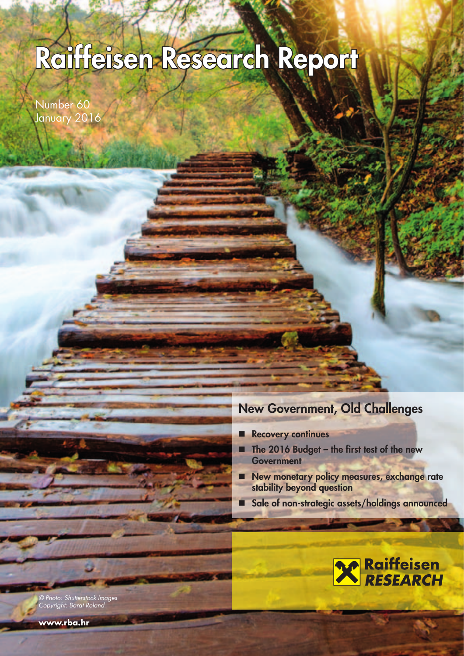# **Raiffeisen Research Report aiffeisen**

Number 60 January 2016

### **New Government, Old Challenges**

- **Recovery continues**
- The 2016 Budget the first test of the new **Government**
- **New monetary policy measures, exchange rate stability beyond question**
- **Sale of non-strategic assets/holdings announced**



© Photo: Shutterstock Images Copyright: Barat Roland

**www.rba.hr**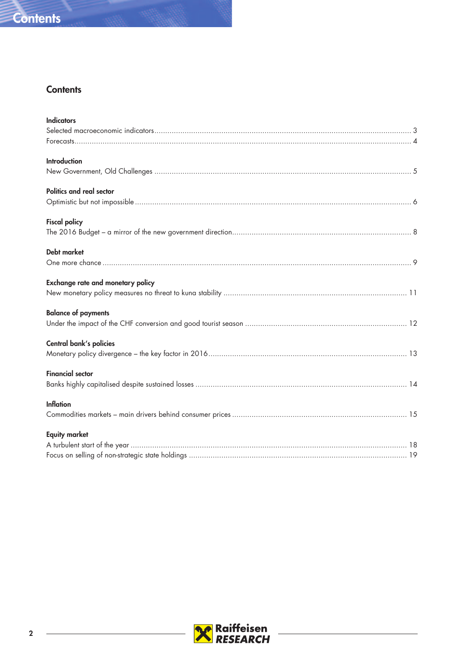

### **Contents**

| <b>Indicators</b>                        |
|------------------------------------------|
|                                          |
|                                          |
| <b>Introduction</b>                      |
|                                          |
| Politics and real sector                 |
|                                          |
| <b>Fiscal policy</b>                     |
|                                          |
| <b>Debt market</b>                       |
|                                          |
| <b>Exchange rate and monetary policy</b> |
|                                          |
| <b>Balance of payments</b>               |
|                                          |
| Central bank's policies                  |
|                                          |
| <b>Financial sector</b>                  |
|                                          |
| <b>Inflation</b>                         |
|                                          |
| <b>Equity market</b>                     |
|                                          |
|                                          |



 $\overline{\phantom{a}}$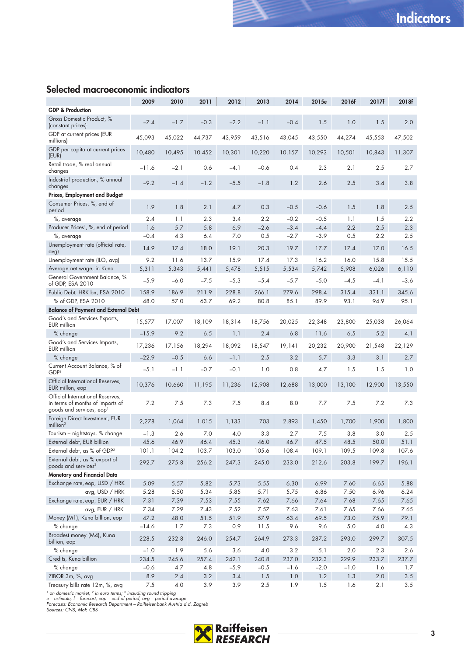### **Selected macroeconomic indicators**

|                                                                                                              | 2009            | 2010         | 2011         | 2012         | 2013         | 2014         | 2015e        | 2016f        | 2017f        | 2018f        |
|--------------------------------------------------------------------------------------------------------------|-----------------|--------------|--------------|--------------|--------------|--------------|--------------|--------------|--------------|--------------|
| <b>GDP &amp; Production</b>                                                                                  |                 |              |              |              |              |              |              |              |              |              |
| Gross Domestic Product, %<br>(constant prices)                                                               | $-7.4$          | $-1.7$       | $-0.3$       | $-2.2$       | $-1.1$       | $-0.4$       | 1.5          | 1.0          | 1.5          | 2.0          |
| GDP at current prices (EUR<br>millions)                                                                      | 45,093          | 45,022       | 44.737       | 43.959       | 43,516       | 43,045       | 43,550       | 44,274       | 45,553       | 47,502       |
| GDP per capita at current prices<br>(EUR)                                                                    | 10,480          | 10,495       | 10,452       | 10,301       | 10,220       | 10,157       | 10,293       | 10,501       | 10,843       | 11,307       |
| Retail trade, % real annual<br>changes                                                                       | $-11.6$         | $-2.1$       | 0.6          | $-4.1$       | $-0.6$       | 0.4          | 2.3          | 2.1          | 2.5          | 2.7          |
| Industrial production, % annual<br>changes                                                                   | $-9.2$          | $-1.4$       | $-1.2$       | $-5.5$       | $-1.8$       | 1.2          | 2.6          | 2.5          | 3.4          | 3.8          |
| Prices, Employment and Budget                                                                                |                 |              |              |              |              |              |              |              |              |              |
| Consumer Prices, %, end of<br>period                                                                         | 1.9             | 1.8          | 2.1          | 4.7          | 0.3          | $-0.5$       | $-0.6$       | 1.5          | 1.8          | 2.5          |
| %, average                                                                                                   | 2.4             | 1.1          | 2.3          | 3.4          | 2.2          | $-0.2$       | $-0.5$       | 1.1          | 1.5          | $2.2\,$      |
| Producer Prices <sup>1</sup> , %, end of period                                                              | 1.6             | 5.7          | 5.8          | 6.9          | $-2.6$       | $-3.4$       | $-4.4$       | 2.2          | 2.5          | 2.3          |
| %, average                                                                                                   | $-0.4$          | 4.3          | 6.4          | 7.0          | 0.5          | $-2.7$       | $-3.9$       | 0.5          | 2.2          | 2.5          |
| Unemployment rate (official rate,<br>avg)                                                                    | 14.9            | 17.4         | 18.0         | 19.1         | 20.3         | 19.7         | 17.7         | 17.4         | 17.0         | 16.5         |
| Unemployment rate (ILO, avg)                                                                                 | 9.2             | 11.6         | 13.7         | 15.9         | 17.4         | 17.3         | 16.2         | 16.0         | 15.8         | 15.5         |
| Average net wage, in Kuna                                                                                    | 5,311           | 5.343        | 5,441        | 5,478        | 5,515        | 5,534        | 5,742        | 5,908        | 6,026        | 6,110        |
| General Government Balance, %<br>of GDP, ESA 2010                                                            | $-5.9$          | $-6.0$       | $-7.5$       | $-5.3$       | $-5.4$       | $-5.7$       | $-5.0$       | $-4.5$       | $-4.1$       | $-3.6$       |
| Public Debt, HRK bn, ESA 2010                                                                                | 158.9           | 186.9        | 211.9        | 228.8        | 266.1        | 279.6        | 298.4        | 315.4        | 331.1        | 345.6        |
| % of GDP, ESA 2010                                                                                           | 48.0            | 57.0         | 63.7         | 69.2         | 80.8         | 85.1         | 89.9         | 93.1         | 94.9         | 95.1         |
| <b>Balance of Payment and External Debt</b>                                                                  |                 |              |              |              |              |              |              |              |              |              |
| Good's and Services Exports,<br><b>EUR</b> million                                                           | 15,577          | 17,007       | 18,109       | 18,314       | 18,756       | 20,025       | 22,348       | 23,800       | 25,038       | 26,064       |
| % change                                                                                                     | $-15.9$         | 9.2          | 6.5          | 1.1          | 2.4          | 6.8          | 11.6         | 6.5          | 5.2          | 4.1          |
| Good's and Services Imports,<br>EUR million                                                                  | 17,236          | 17,156       | 18,294       | 18,092       | 18,547       | 19,141       | 20,232       | 20,900       | 21,548       | 22,129       |
| % change                                                                                                     | $-22.9$         | $-0.5$       | 6.6          | $-1.1$       | 2.5          | 3.2          | 5.7          | 3.3          | 3.1          | 2.7          |
| Current Account Balance, % of<br>GDP <sup>2</sup>                                                            | $-5.1$          | $-1.1$       | $-0.7$       | $-0.1$       | 1.0          | 0.8          | 4.7          | 1.5          | 1.5          | 1.0          |
| Official International Reserves,<br>EUR millon, eop                                                          | 10,376          | 10,660       | 11,195       | 11,236       | 12,908       | 12,688       | 13,000       | 13,100       | 12,900       | 13,550       |
| Official International Reserves,<br>in terms of months of imports of<br>goods and services, eop <sup>1</sup> | 7.2             | 7.5          | 7.3          | 7.5          | 8.4          | 8.0          | 7.7          | 7.5          | 7.2          | 7.3          |
| Foreign Direct Investment, EUR<br>$m$ illion <sup>3</sup>                                                    | 2,278           | 1,064        | 1,015        | 1,133        | 703          | 2,893        | 1,450        | 1,700        | 1,900        | 1,800        |
| Tourism - nightstays, % change                                                                               | $-1.3$          | 2.6          | 7.0          | 4.0          | 3.3          | 2.7          | 7.5          | 3.8          | 3.0          | 2.5          |
| External debt, EUR billion                                                                                   | 45.6            | 46.9         | 46.4         | 45.3         | 46.0         | 46.7         | 47.5         | 48.5         | 50.0         | 51.1         |
| External debt, as % of GDP <sup>2</sup>                                                                      | 101.1           | 104.2        | 103.7        | 103.0        | 105.6        | 108.4        | 109.1        | 109.5        | 109.8        | 107.6        |
| External debt, as % export of<br>goods and services <sup>2</sup>                                             | 292.7           | 275.8        | 256.2        | 247.3        | 245.0        | 233.0        | 212.6        | 203.8        | 199.7        | 196.1        |
| Monetary and Financial Data                                                                                  |                 |              |              |              |              |              |              |              |              |              |
| Exchange rate, eop, USD / HRK                                                                                | 5.09            | 5.57         | 5.82         | 5.73         | 5.55         | 6.30         | 6.99         | 7.60         | 6.65         | 5.88         |
| avg, USD / HRK                                                                                               | 5.28            | 5.50         | 5.34         | 5.85         | 5.71         | 5.75         | 6.86         | 7.50         | 6.96         | 6.24         |
| Exchange rate, eop, EUR / HRK                                                                                | 7.31            | 7.39         | 7.53         | 7.55         | 7.62         | 7.66         | 7.64         | 7.68         | 7.65         | 7.65         |
| avg, EUR / HRK                                                                                               | 7.34            | 7.29         | 7.43         | 7.52         | 7.57         | 7.63         | 7.61         | 7.65         | 7.66         | 7.65         |
| Money (M1), Kuna billion, eop                                                                                | 47.2            | 48.0         | 51.5         | 51.9         | 57.9         | 63.4         | 69.5         | 73.0         | 75.9         | 79.1         |
| % change<br>Broadest money (M4), Kuna                                                                        | $-14.6$         | 1.7          | 7.3          | 0.9          | 11.5         | 9.6          | 9.6          | 5.0          | 4.0          | 4.3          |
| billion, eop<br>% change                                                                                     | 228.5<br>$-1.0$ | 232.8<br>1.9 | 246.0<br>5.6 | 254.7<br>3.6 | 264.9<br>4.0 | 273.3<br>3.2 | 287.2<br>5.1 | 293.0<br>2.0 | 299.7<br>2.3 | 307.5<br>2.6 |
| Credits, Kuna billion                                                                                        | 234.5           | 245.6        | 257.4        | 242.1        | 240.8        | 237.0        | 232.3        | 229.9        | 233.7        | 237.7        |
| % change                                                                                                     | $-0.6$          | 4.7          | 4.8          | $-5.9$       | $-0.5$       | $-1.6$       | $-2.0$       | $-1.0$       | 1.6          | 1.7          |
| ZIBOR 3m, %, avg                                                                                             | 8.9             | 2.4          | 3.2          | 3.4          | 1.5          | $1.0\,$      | $1.2$        | 1.3          | 2.0          | 3.5          |
| Treasury bills rate 12m, %, avg                                                                              | 7.5             | $4.0$        | 3.9          | 3.9          | 2.5          | 1.9          | 1.5          | 1.6          | 2.1          | 3.5          |

<sup>1</sup> on domestic market; <sup>2</sup> in euro terms; <sup>3</sup> including round tripping<br>e – estimate; f – forecast; eop – end of period; avg – period average<br>Forecasts: Economic Research Department – Raiffeisenbank Austria d.d. Zagreb<br>Sou

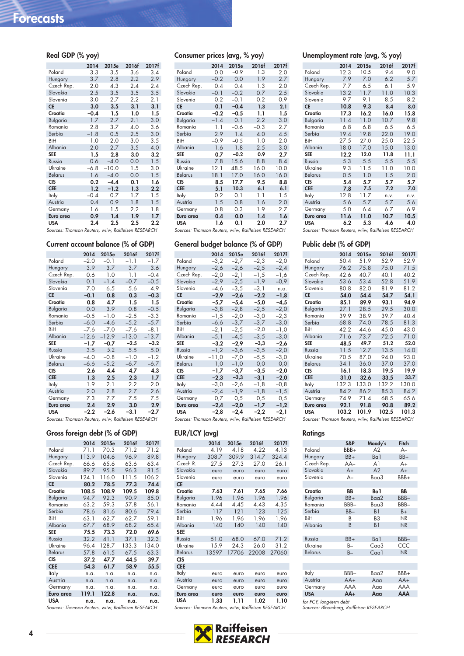| Real GDP (% yoy)                                    |         |         |         |       |
|-----------------------------------------------------|---------|---------|---------|-------|
|                                                     | 2014    | 2015e   | 2016f   | 2017f |
| Poland                                              | 3.3     | 3.5     | 3.6     | 3.4   |
| Hungary                                             | 3.7     | 2.8     | 2.2     | 2.9   |
| Czech Rep.                                          | 2.0     | 4.3     | 2.4     | 2.4   |
| Slovakia                                            | 2.5     | 3.5     | 3.5     | 3.5   |
| Slovenia                                            | 3.0     | 2.7     | $2.2\,$ | 2.1   |
| <b>CE</b>                                           | 3.0     | 3.5     | 3.1     | 3.1   |
| Croatia                                             | $-0.4$  | 1.5     | 1.0     | 1.5   |
| Bulgaria                                            | 1.7     | 2.7     | 2.1     | 3.0   |
| Romania                                             | 2.8     | 3.7     | 4.0     | 3.6   |
| Serbia                                              | $-1.8$  | 0.5     | 2.5     | 3.0   |
| BiH                                                 | 1.0     | 2.0     | 3.0     | 3.5   |
| Albania                                             | 2.0     | 2.7     | 3.5     | 4.0   |
| <b>SEE</b>                                          | 1.5     | 2.8     | 3.0     | 3.2   |
| Russia                                              | 0.6     | $-4.0$  | 0.0     | 1.5   |
| Ukraine                                             | $-6.8$  | $-10.0$ | 1.5     | 3.0   |
| <b>Belarus</b>                                      | 1.6     | $-4.0$  | 0.0     | 1.5   |
| <b>CIS</b>                                          | $0.2\,$ | $-4.4$  | 0.1     | 1.6   |
| <b>CEE</b>                                          | 1.2     | $-1.2$  | 1.3     | 2.2   |
| Italy                                               | $-0.4$  | 0.7     | 1.7     | 1.5   |
| Austria                                             | 0.4     | 0.9     | 1.8     | 1.5   |
| Germany                                             | 1.6     | 1.5     | 2.2     | 1.8   |
| Euro area                                           | 0.9     | 1.4     | 1.9     | 1.7   |
| <b>USA</b>                                          | 2.4     | 2.5     | 2.5     | 2.2   |
| Sources: Thomson Reuters, wiiw, Raiffeisen RESEARCH |         |         |         |       |

#### **Current account balance (% of GDP)**

|                | 2014    | 2015e   | 2016f   | 2017f   |
|----------------|---------|---------|---------|---------|
| Poland         | $-2.0$  | $-0.1$  | $-1.1$  | $-1.7$  |
| Hungary        | 3.9     | 3.7     | 3.7     | 3.6     |
| Czech Rep.     | 0.6     | 1.0     | 1.1     | $-0.4$  |
| Slovakia       | 0.1     | $-1.4$  | $-0.7$  | $-0.5$  |
| Slovenia       | 7.0     | 6.5     | 5.6     | 4.9     |
| <b>CE</b>      | $-0.1$  | 0.8     | 0.3     | $-0.3$  |
| Croatia        | 0.8     | 4.7     | 1.5     | 1.5     |
| Bulgaria       | 0.0     | 3.9     | 0.8     | $-0.5$  |
| Romania        | $-0.5$  | $-1.0$  | $-2.5$  | $-3.3$  |
| Serbia         | $-6.0$  | $-4.6$  | $-5.2$  | $-5.7$  |
| BiH            | $-7.6$  | $-7.0$  | $-7.6$  | $-8.1$  |
| Albania        | $-12.6$ | $-12.9$ | $-13.0$ | $-13.7$ |
| <b>SEE</b>     | $-1.7$  | $-0.7$  | $-2.5$  | $-3.2$  |
| Russia         | 3.5     | 5.2     | 5.5     | 5.0     |
| Ukraine        | $-4.0$  | $-0.8$  | $-1.0$  | $-1.2$  |
| <b>Belarus</b> | $-6.6$  | $-5.2$  | $-6.7$  | $-6.7$  |
| <b>CIS</b>     | 2.6     | 4.4     | 4.7     | 4.3     |
| <b>CEE</b>     | 1.3     | 2.5     | 2.3     | 1.7     |
| Italy          | 1.9     | 2.1     | 2.2     | 2.0     |
| Austria        | 2.0     | 2.8     | 2.7     | 2.6     |
| Germany        | 7.3     | 7.7     | 7.5     | 7.5     |
| Euro area      | 2.4     | 2.9     | 3.0     | 2.9     |
| <b>USA</b>     | $-2.2$  | -2.6    | -3.1    | -2.7    |

Sources: Thomson Reuters, wiiw, Raiffeisen RESEARCH

#### **Gross foreign debt (% of GDP)**

|                                                                                                                                                                                                                                                                                                                                             | 2014  | 2015e | 2016f | 2017f |
|---------------------------------------------------------------------------------------------------------------------------------------------------------------------------------------------------------------------------------------------------------------------------------------------------------------------------------------------|-------|-------|-------|-------|
| Poland                                                                                                                                                                                                                                                                                                                                      | 71.1  | 70.3  | 71.2  | 71.2  |
| Hungary                                                                                                                                                                                                                                                                                                                                     | 113.9 | 104.6 | 96.9  | 89.8  |
| Czech Rep.                                                                                                                                                                                                                                                                                                                                  | 66.6  | 65.6  | 63.6  | 63.4  |
| Slovakia                                                                                                                                                                                                                                                                                                                                    | 89.7  | 95.8  | 96.3  | 81.5  |
| Slovenia                                                                                                                                                                                                                                                                                                                                    | 124.1 | 116.0 | 111.5 | 106.2 |
| <b>CE</b>                                                                                                                                                                                                                                                                                                                                   | 80.2  | 78.5  | 77.3  | 74.4  |
| Croatia                                                                                                                                                                                                                                                                                                                                     | 108.5 | 108.9 | 109.5 | 109.8 |
| Bulgaria                                                                                                                                                                                                                                                                                                                                    | 94.7  | 92.3  | 90.9  | 85.0  |
| Romania                                                                                                                                                                                                                                                                                                                                     | 63.2  | 59.3  | 57.8  | 56.1  |
| Serbia                                                                                                                                                                                                                                                                                                                                      | 78.6  | 81.6  | 80.6  | 79.4  |
| BiH                                                                                                                                                                                                                                                                                                                                         | 63.1  | 62.7  | 62.7  | 59.1  |
| Albania                                                                                                                                                                                                                                                                                                                                     | 67.7  | 68.9  | 68.2  | 65.4  |
| <b>SEE</b>                                                                                                                                                                                                                                                                                                                                  | 75.5  | 73.3  | 72.0  | 69.6  |
| Russia                                                                                                                                                                                                                                                                                                                                      | 32.2  | 41.1  | 37.1  | 32.3  |
| Ukraine                                                                                                                                                                                                                                                                                                                                     | 96.4  | 128.7 | 133.3 | 134.0 |
| <b>Belarus</b>                                                                                                                                                                                                                                                                                                                              | 57.8  | 61.5  | 67.5  | 63.3  |
| <b>CIS</b>                                                                                                                                                                                                                                                                                                                                  | 37.2  | 47.7  | 44.5  | 39.7  |
| <b>CEE</b>                                                                                                                                                                                                                                                                                                                                  | 54.3  | 61.7  | 58.9  | 55.5  |
| Italy                                                                                                                                                                                                                                                                                                                                       | n.a.  | n.a.  | n.a.  | n.a.  |
| Austria                                                                                                                                                                                                                                                                                                                                     | n.a.  | n.a.  | n.a.  | n.a.  |
| Germany                                                                                                                                                                                                                                                                                                                                     | n.a.  | n.a.  | n.a.  | n.a.  |
| Euro area                                                                                                                                                                                                                                                                                                                                   | 119.1 | 122.8 | n.a.  | n.a.  |
| USA                                                                                                                                                                                                                                                                                                                                         | n.a.  | n.a.  | n.a.  | n.a.  |
| $C_{\text{c}}$ and $C_{\text{c}}$ $C_{\text{c}}$ $C_{\text{c}}$ $D_{\text{c}}$ $D_{\text{c}}$ $D_{\text{c}}$ $D_{\text{c}}$ $D_{\text{c}}$ $D_{\text{c}}$ $D_{\text{c}}$ $D_{\text{c}}$ $D_{\text{c}}$ $D_{\text{c}}$ $D_{\text{c}}$ $D_{\text{c}}$ $D_{\text{c}}$ $D_{\text{c}}$ $D_{\text{c}}$ $D_{\text{c}}$ $D_{\text{c}}$ $D_{\text{c$ |       |       |       |       |

Sources: Thomson Reuters, wiiw, Raiffeisen RESEARCH

| Consumer prices (avg, % yoy) |        |        |        |       |
|------------------------------|--------|--------|--------|-------|
|                              | 2014   | 2015e  | 2016f  | 2017f |
| Poland                       | 0.0    | $-0.9$ | 1.3    | 2.0   |
| Hungary                      | $-0.2$ | 0.0    | 1.9    | 2.7   |
| Czech Rep.                   | 0.4    | 0.4    | 1.3    | 2.0   |
| Slovakia                     | $-0.1$ | $-0.2$ | 0.7    | 2.5   |
| Slovenia                     | 0.2    | $-0.1$ | 0.2    | 0.9   |
| <b>CE</b>                    | 0.1    | $-0.4$ | 1.3    | 2.1   |
| Croatia                      | $-0.2$ | $-0.5$ | 1.1    | 1.5   |
| Bulgaria                     | $-1.4$ | 0.1    | 2.2    | 3.0   |
| Romania                      | 1.1    | $-0.6$ | $-0.3$ | 2.7   |
| Serbia                       | 2.9    | 1.4    | 4.0    | 4.5   |
| BiH                          | $-0.9$ | $-0.5$ | 1.0    | 2.0   |
| Albania                      | 1.6    | 1.8    | 2.5    | 3.0   |
| <b>SEE</b>                   | 0.7    | $-0.2$ | 0.9    | 2.7   |
| Russia                       | 7.8    | 15.6   | 8.8    | 8.4   |
| Ukraine                      | 12.1   | 48.5   | 16.0   | 10.0  |
| <b>Belarus</b>               | 18.1   | 17.0   | 16.0   | 16.0  |
| <b>CIS</b>                   | 8.5    | 17.7   | 9.5    | 8.8   |
| <b>CEE</b>                   | 5.1    | 10.3   | 6.1    | 6.1   |
| Italy                        | 0.2    | 0.1    | 1.1    | 1.5   |
| Austria                      | 1.5    | 0.8    | 1.6    | 2.0   |
| Germany                      | 0.8    | 0.3    | 1.9    | 2.7   |
| Euro area                    | 0.4    | 0.0    | 1.4    | 1.6   |
| <b>USA</b>                   | 1.6    | 0.1    | 2.0    | 2.7   |

#### **General budget balance (% of GDP)**

|                | 2014    | 2015e  | 2016f  | 2017f   |
|----------------|---------|--------|--------|---------|
| Poland         | $-3,2$  | $-2,7$ | $-2,3$ | $-2,0$  |
| Hungary        | $-2,6$  | $-2,6$ | $-2,5$ | $-2, 4$ |
| Czech Rep.     | $-2,0$  | $-2,1$ | $-1,5$ | -1,6    |
| Slovakia       | $-2,9$  | $-2,5$ | $-1,9$ | $-0,9$  |
| Slovenia       | $-4,6$  | $-3,5$ | $-3,1$ | n.a.    |
| CE             | $-2,9$  | $-2,6$ | $-2,2$ | $-1,8$  |
| Croatia        | $-5,7$  | $-5,4$ | $-5,0$ | -4,5    |
| Bulgaria       | $-3, 8$ | $-2,8$ | $-2,5$ | $-2,0$  |
| Romania        | $-1,5$  | $-2,0$ | $-3,0$ | $-2,3$  |
| Serbia         | $-6,6$  | $-3,7$ | $-3,7$ | $-3,0$  |
| BiH            | -2,1    | $-2,5$ | $-2,0$ | $-1,0$  |
| Albania        | $-5,1$  | $-4,5$ | $-3,5$ | $-3,0$  |
| <b>SEE</b>     | $-3,2$  | $-2,9$ | $-3,3$ | $-2,6$  |
| Russia         | $-1,2$  | $-3,6$ | $-3,5$ | $-2,0$  |
| Ukraine        | $-11,0$ | -7,0   | $-5,5$ | $-3,0$  |
| <b>Belarus</b> | 1,0     | $-1,0$ | 0,0    | 0,0     |
| CIS            | $-1,7$  | $-3,7$ | $-3.5$ | $-2,0$  |
| <b>CEE</b>     | $-2,3$  | $-3,3$ | $-3,1$ | $-2,0$  |
| Italy          | $-3,0$  | -2,6   | $-1,8$ | $-0,8$  |
| Austria        | $-2,4$  | $-1,9$ | $-1,8$ | $-1,5$  |
| Germany        | 0,7     | 0,5    | 0,5    | 0,5     |
| Euro area      | $-2,4$  | $-2,0$ | $-1,7$ | $-1,2$  |
| USA            | $-2,8$  | $-2,4$ | $-2,2$ | $-2,1$  |

Sources: Thomson Reuters, wiiw, Raiffeisen RESEARCH

#### **EUR/LCY (avg)**

|                                                     | 2014  | 2015e | 2016f | 2017f |
|-----------------------------------------------------|-------|-------|-------|-------|
| Poland                                              | 4.19  | 4.18  | 4.22  | 4.13  |
| Hungary                                             | 308.7 | 309.9 | 314.7 | 324.4 |
| Czech R.                                            | 27.5  | 27.3  | 27.0  | 26.1  |
| Slovakia                                            | euro  | euro  | euro  | euro  |
| Slovenia                                            | euro  | euro  | euro  | euro  |
| <b>CE</b>                                           |       |       |       |       |
| Croatia                                             | 7.63  | 7.61  | 7.65  | 7.66  |
| Bulgaria                                            | 1.96  | 1.96  | 1.96  | 1.96  |
| Romania                                             | 4.44  | 4.45  | 4.43  | 4.35  |
| Serbia                                              | 117   | 121   | 123   | 125   |
| BiH                                                 | 1.96  | 1.96  | 1.96  | 1.96  |
| Albania                                             | 140   | 140   | 140   | 140   |
| <b>SEE</b>                                          |       |       |       |       |
| Russia                                              | 51.0  | 68.0  | 67.0  | 71.2  |
| Ukraine                                             | 15.9  | 24.3  | 26.0  | 31.2  |
| <b>Belarus</b>                                      | 13597 | 17706 | 22008 | 27060 |
| <b>CIS</b>                                          |       |       |       |       |
| <b>CEE</b>                                          |       |       |       |       |
| Italy                                               | euro  | euro  | euro  | euro  |
| Austria                                             | euro  | euro  | euro  | euro  |
| Germany                                             | euro  | euro  | euro  | euro  |
| Euro area                                           | euro  | euro  | euro  | euro  |
| <b>USA</b>                                          | 1.33  | 1.11  | 1.02  | 1.10  |
| Sources: Thomson Reuters, wiiw, Raiffeisen RESEARCH |       |       |       |       |

## Raiffeisen<br>RESEARCH

#### **Unemployment rate (avg, % yoy)**

|                | 2014 | 2015e | 2016f | 2017f |
|----------------|------|-------|-------|-------|
| Poland         | 12.3 | 10.5  | 9.4   | 9.0   |
| Hungary        | 7.9  | 7.0   | 6.2   | 5.7   |
| Czech Rep.     | 7.7  | 6.5   | 6.1   | 5.9   |
| Slovakia       | 13.2 | 11.7  | 11.0  | 10.3  |
| Slovenia       | 9.7  | 9.1   | 8.5   | 8.2   |
| <b>CE</b>      | 10.8 | 9.3   | 8.4   | 8.0   |
| Croatia        | 17.3 | 16.2  | 16.0  | 15.8  |
| Bulgaria       | 11.4 | 11.0  | 10.7  | 9.8   |
| Romania        | 6.8  | 6.8   | 6.5   | 6.5   |
| Serbia         | 19.4 | 19.8  | 22.0  | 19.0  |
| BiH            | 27.5 | 27.0  | 25.0  | 22.5  |
| Albania        | 18.0 | 17.0  | 15.0  | 13.0  |
| <b>SEE</b>     | 12.2 | 12.0  | 11.8  | 11.1  |
| Russia         | 5.3  | 5.5   | 5.5   | 5.5   |
| Ukraine        | 9.3  | 11.5  | 11.0  | 10.0  |
| <b>Belarus</b> | 0.5  | 1.0   | 1.5   | 2.0   |
| <b>CIS</b>     | 5.4  | 5.7   | 5.7   | 5.7   |
| <b>CEE</b>     | 7.8  | 7.5   | 7.2   | 7.0   |
| Italy          | 12.8 | 11.7  | n.v.  | n.v.  |
| Austria        | 5.6  | 5.7   | 5.7   | 5.6   |
| Germany        | 5.0  | 6.4   | 6.7   | 6.9   |
| Euro area      | 11.6 | 11.0  | 10.7  | 10.5  |
| <b>USA</b>     | 6.2  | 5.3   | 4.6   | 4.0   |

Sources: Thomson Reuters, wiiw, Raiffeisen RESEARCH

#### **Public debt (% of GDP)**

|                 | 2014  | 2015e | 2016f | 2017f |
|-----------------|-------|-------|-------|-------|
| Poland          | 50.4  | 51.9  | 52.9  | 52.9  |
| Hungary         | 76.2  | 75.8  | 75.0  | 71.5  |
| Czech Rep.      | 42.6  | 40.7  | 40.1  | 40.2  |
| Slovakia        | 53.6  | 53.4  | 52.8  | 51.9  |
| Slovenia        | 80.8  | 82.0  | 81.9  | 81.2  |
| <b>CE</b>       | 54.0  | 54.4  | 54.7  | 54.1  |
| Croatia         | 85.1  | 89.9  | 93.1  | 94.9  |
| <b>Bulgaria</b> | 27.1  | 28.5  | 29.5  | 30.0  |
| Romania         | 39.9  | 38.9  | 39.7  | 40.4  |
| Serbia          | 68.8  | 74.0  | 78.5  | 81.3  |
| BiH             | 42.2  | 44.6  | 45.0  | 43.0  |
| Albania         | 71.6  | 73.7  | 72.5  | 71.0  |
| <b>SEE</b>      | 48.5  | 49.7  | 51.2  | 52.0  |
| Russia          | 11.5  | 12.7  | 13.5  | 14.0  |
| Ukraine         | 70.5  | 87.0  | 94.0  | 93.0  |
| <b>Belarus</b>  | 34.1  | 36.0  | 37.0  | 37.0  |
| <b>CIS</b>      | 16.1  | 18.3  | 19.5  | 19.9  |
| <b>CEE</b>      | 31.0  | 32.6  | 33.5  | 33.7  |
| Italy           | 132.3 | 133.0 | 132.2 | 130.0 |
| Austria         | 84.2  | 86.2  | 85.3  | 84.2  |
| Germany         | 74.9  | 71.4  | 68.5  | 65.6  |
| Euro area       | 92.1  | 91.8  | 90.8  | 89.2  |
| USA             | 103.2 | 101.9 | 102.5 | 101.3 |

Sources: Thomson Reuters, wiiw, Raiffeisen RESEARCH

#### **Ratings**

|                           | S&P   | Moody's        | Fitch     |
|---------------------------|-------|----------------|-----------|
| Poland                    | BBB+  | A2             | A–        |
| Hungary                   | BB+   | Ba1            | BB+       |
| Czech Rep.                | AA-   | A1             | A+        |
| Slovakia                  | $A+$  | A2             | $A+$      |
| Slovenia                  | A–    | Baa3           | BBB+      |
|                           |       |                |           |
| Croatia                   | BB    | Ba1            | ВB        |
| Bulgaria                  | $BB+$ | Baa2           | BBB-      |
| Romania                   | BBB-  | Baa3           | BBB-      |
| Serbia                    | BB-   | B <sub>1</sub> | $B+$      |
| BiH                       | В     | BЗ             | NR        |
| Albania                   | B     | B1             | <b>NR</b> |
|                           |       |                |           |
| Russia                    | $BB+$ | Ba1            | BBB-      |
| Ukraine                   | B-    | Caa3           | CCC       |
| <b>Belarus</b>            | $B -$ | C <sub>q</sub> | <b>NR</b> |
|                           |       |                |           |
|                           |       |                |           |
| Italy                     | BBB-  | Baa2           | BBB+      |
| Austria                   | $AA+$ | Aaa            | $AA+$     |
| Germany                   | AAA   | Aaa            | AAA       |
| <b>USA</b>                | $AA+$ | Aaa            | AAA       |
| $1 - ECV$ $1 - 1 - 1 - 1$ |       |                |           |

for FCY, long-term debt Sources: Bloomberg, Raiffeisen RESEARCH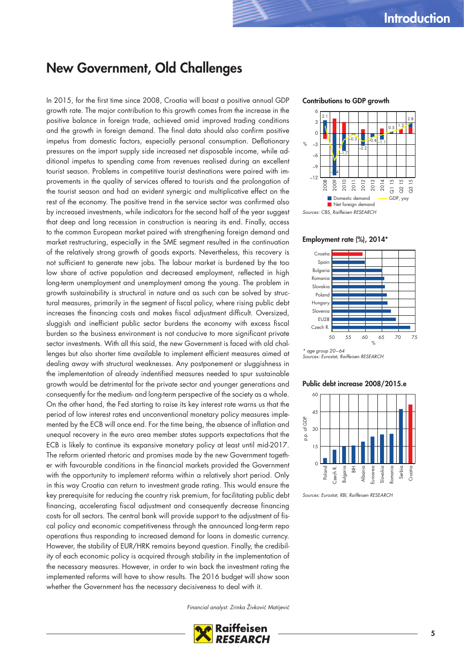### **New Government, Old Challenges**

In 2015, for the first time since 2008, Croatia will boast a positive annual GDP growth rate. The major contribution to this growth comes from the increase in the positive balance in foreign trade, achieved amid improved trading conditions and the growth in foreign demand. The final data should also confirm positive impetus from domestic factors, especially personal consumption. Deflationary pressures on the import supply side increased net disposable income, while additional impetus to spending came from revenues realised during an excellent tourist season. Problems in competitive tourist destinations were paired with improvements in the quality of services offered to tourists and the prolongation of the tourist season and had an evident synergic and multiplicative effect on the rest of the economy. The positive trend in the service sector was confirmed also by increased investments, while indicators for the second half of the year suggest that deep and long recession in construction is nearing its end. Finally, access to the common European market paired with strengthening foreign demand and market restructuring, especially in the SME segment resulted in the continuation of the relatively strong growth of goods exports. Nevertheless, this recovery is not sufficient to generate new jobs. The labour market is burdened by the too low share of active population and decreased employment, reflected in high long-term unemployment and unemployment among the young. The problem in growth sustainability is structural in nature and as such can be solved by structural measures, primarily in the segment of fiscal policy, where rising public debt increases the financing costs and makes fiscal adjustment difficult. Oversized, sluggish and inefficient public sector burdens the economy with excess fiscal burden so the business environment is not conducive to more significant private sector investments. With all this said, the new Government is faced with old challenges but also shorter time available to implement efficient measures aimed at dealing away with structural weaknesses. Any postponement or sluggishness in the implementation of already indentified measures needed to spur sustainable growth would be detrimental for the private sector and younger generations and consequently for the medium- and long-term perspective of the society as a whole. On the other hand, the Fed starting to raise its key interest rate warns us that the period of low interest rates end unconventional monetary policy measures implemented by the ECB will once end. For the time being, the absence of inflation and unequal recovery in the euro area member states supports expectations that the ECB is likely to continue its expansive monetary policy at least until mid-2017. The reform oriented rhetoric and promises made by the new Government together with favourable conditions in the financial markets provided the Government with the opportunity to implement reforms within a relatively short period. Only in this way Croatia can return to investment grade rating. This would ensure the key prerequisite for reducing the country risk premium, for facilitating public debt financing, accelerating fiscal adjustment and consequently decrease financing costs for all sectors. The central bank will provide support to the adjustment of fiscal policy and economic competitiveness through the announced long-term repo operations thus responding to increased demand for loans in domestic currency. However, the stability of EUR/HRK remains beyond question. Finally, the credibility of each economic policy is acquired through stability in the implementation of the necessary measures. However, in order to win back the investment rating the implemented reforms will have to show results. The 2016 budget will show soon whether the Government has the necessary decisiveness to deal with it.

#### Financial analyst: Zrinka Živković Matijević

**RESEARCH** 

#### **Contributions to GDP growth**



#### **Employment rate (%), 2014\***



Sources: Eurostat, Raiffeisen RESEARCH

#### **Public debt increase 2008/2015.e**



Sources: Eurostat, RBI, Raiffeisen RESEARCH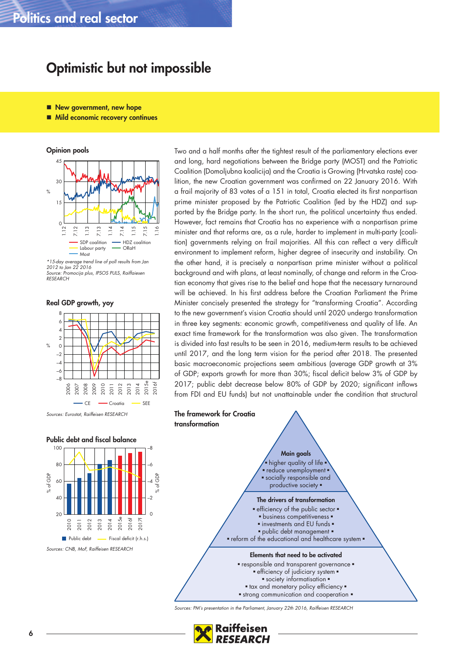### **Politics and real sector**

### **Optimistic but not impossible**

- New government, new hope
- Mild economic recovery continues

**Opinion pools**



\*15-day average trend line of poll results from Jan 2012 to Jan 22 2016 Source: Promocija plus, IPSOS PULS, Raiffaiesen **RESEARCH** 

**Real GDP growth, yoy**



Sources: Eurostat, Raiffeisen RESEARCH



Two and a half months after the tightest result of the parliamentary elections ever and long, hard negotiations between the Bridge party (MOST) and the Patriotic Coalition (Domoljubna koalicija) and the Croatia is Growing (Hrvatska raste) coalition, the new Croatian government was confirmed on 22 January 2016. With a frail majority of 83 votes of a 151 in total, Croatia elected its first nonpartisan prime minister proposed by the Patriotic Coalition (led by the HDZ) and supported by the Bridge party. In the short run, the political uncertainty thus ended. However, fact remains that Croatia has no experience with a nonpartisan prime minister and that reforms are, as a rule, harder to implement in multi-party (coalition) governments relying on frail majorities. All this can reflect a very difficult environment to implement reform, higher degree of insecurity and instability. On the other hand, it is precisely a nonpartisan prime minister without a political background and with plans, at least nominally, of change and reform in the Croatian economy that gives rise to the belief and hope that the necessary turnaround will be achieved. In his first address before the Croatian Parliament the Prime Minister concisely presented the strategy for "transforming Croatia". According to the new government's vision Croatia should until 2020 undergo transformation in three key segments: economic growth, competitiveness and quality of life. An exact time framework for the transformation was also given. The transformation is divided into fast results to be seen in 2016, medium-term results to be achieved until 2017, and the long term vision for the period after 2018. The presented basic macroeconomic projections seem ambitious (average GDP growth at 3% of GDP; exports growth for more than 30%; fiscal deficit below 3% of GDP by 2017; public debt decrease below 80% of GDP by 2020; significant inflows from FDI and EU funds) but not unattainable under the condition that structural



Sources: PM's presentation in the Parliament, January 22th 2016, Raiffeisen RESEARCH

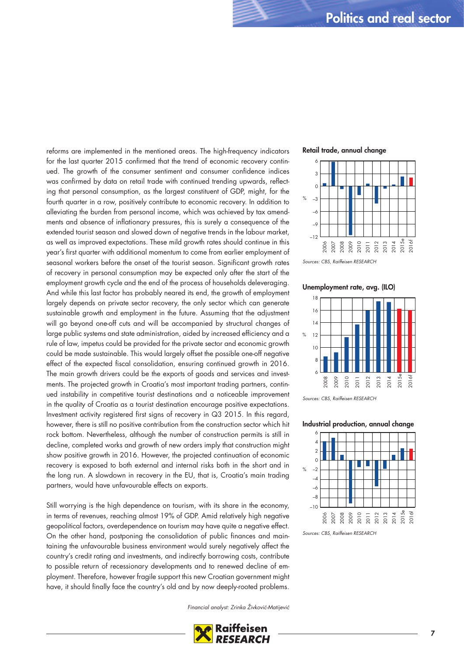reforms are implemented in the mentioned areas. The high-frequency indicators for the last quarter 2015 confirmed that the trend of economic recovery continued. The growth of the consumer sentiment and consumer confidence indices was confirmed by data on retail trade with continued trending upwards, reflecting that personal consumption, as the largest constituent of GDP, might, for the fourth quarter in a row, positively contribute to economic recovery. In addition to alleviating the burden from personal income, which was achieved by tax amendments and absence of inflationary pressures, this is surely a consequence of the extended tourist season and slowed down of negative trends in the labour market, as well as improved expectations. These mild growth rates should continue in this year's first quarter with additional momentum to come from earlier employment of seasonal workers before the onset of the tourist season. Significant growth rates of recovery in personal consumption may be expected only after the start of the employment growth cycle and the end of the process of households deleveraging. And while this last factor has probably neared its end, the growth of employment largely depends on private sector recovery, the only sector which can generate sustainable growth and employment in the future. Assuming that the adjustment will go beyond one-off cuts and will be accompanied by structural changes of large public systems and state administration, aided by increased efficiency and a rule of law, impetus could be provided for the private sector and economic growth could be made sustainable. This would largely offset the possible one-off negative effect of the expected fiscal consolidation, ensuring continued growth in 2016. The main growth drivers could be the exports of goods and services and investments. The projected growth in Croatia's most important trading partners, continued instability in competitive tourist destinations and a noticeable improvement in the quality of Croatia as a tourist destination encourage positive expectations. Investment activity registered first signs of recovery in Q3 2015. In this regard, however, there is still no positive contribution from the construction sector which hit rock bottom. Nevertheless, although the number of construction permits is still in decline, completed works and growth of new orders imply that construction might show positive growth in 2016. However, the projected continuation of economic recovery is exposed to both external and internal risks both in the short and in the long run. A slowdown in recovery in the EU, that is, Croatia's main trading partners, would have unfavourable effects on exports.

Still worrying is the high dependence on tourism, with its share in the economy, in terms of revenues, reaching almost 19% of GDP. Amid relatively high negative geopolitical factors, overdependence on tourism may have quite a negative effect. On the other hand, postponing the consolidation of public finances and maintaining the unfavourable business environment would surely negatively affect the country's credit rating and investments, and indirectly borrowing costs, contribute to possible return of recessionary developments and to renewed decline of employment. Therefore, however fragile support this new Croatian government might have, it should finally face the country's old and by now deeply-rooted problems.

Financial analyst: Zrinka Živković-Matijević



#### **Retail trade, annual change**



Sources: CBS, Raiffeisen RESEARCH

**Unemployment rate, avg. (ILO)**



Sources: CBS, Raiffeisen RESEARCH

#### **Industrial production, annual change**



Sources: CBS, Raiffeisen RESEARCH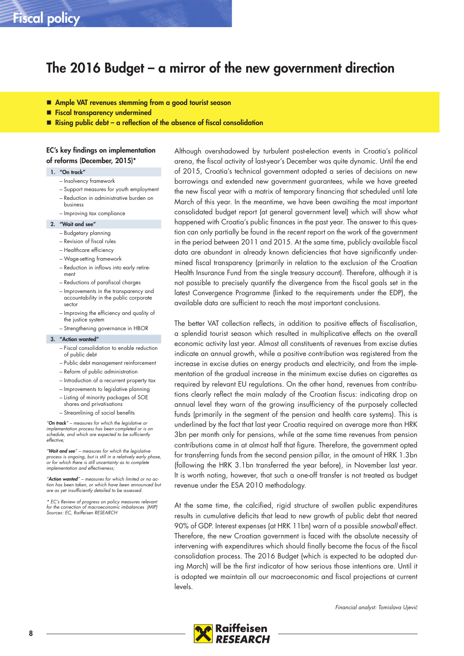### **The 2016 Budget – a mirror of the new government direction**

- **Ample VAT revenues stemming from a good tourist season**
- **Fiscal transparency undermined**
- **Rising public debt a reflection of the absence of fiscal consolidation**

#### **EC's key findings on implementation of reforms (December, 2015)\***

#### **1. "On track"**

- Insolvency framework
- Support measures for youth employment
- Reduction in administrative burden on business
- Improving tax compliance

#### **2. "Wait and see"**

- Budgetary planning
- Revision of fiscal rules
- Healthcare efficiency
- Wage-setting framework
- Reduction in inflows into early retirement
- Reductions of parafiscal charges
- Improvements in the transparency and accountability in the public corporate sector
- Improving the efficiency and quality of the justice system – Strengthening governance in HBOR

#### **3. "Action wanted"**

- Fiscal consolidation to enable reduction
- of public debt
- Public debt management reinforcement – Reform of public administration
- 
- Introduction of a recurrent property tax
- Improvements to legislative planning
- Listing of minority packages of SOE shares and privatisations
- Streamlining of social benefits

"*On track*" – measures for which the legislative or implementation process has been completed or is on schedule, and which are expected to be sufficiently effective;

"*Wait and see*" – measures for which the legislative process is ongoing, but is still in a relatively early phase, or for which there is still uncertainty as to complete implementation and effectiveness;

"*Action wanted*" – measures for which limited or no action has been taken, or which have been announced but are as yet insufficiently detailed to be assessed.

\* EC's Review of progress on policy measures relevant for the correction of macroeconomic imbalances (MIP) Sources: EC, Raiffeisen RESEARCH

Although overshadowed by turbulent post-election events in Croatia's political arena, the fiscal activity of last-year's December was quite dynamic. Until the end of 2015, Croatia's technical government adopted a series of decisions on new borrowings and extended new government guarantees, while we have greeted the new fiscal year with a matrix of temporary financing that scheduled until late March of this year. In the meantime, we have been awaiting the most important consolidated budget report (at general government level) which will show what happened with Croatia's public finances in the past year. The answer to this question can only partially be found in the recent report on the work of the government in the period between 2011 and 2015. At the same time, publicly available fiscal data are abundant in already known deficiencies that have significantly undermined fiscal transparency (primarily in relation to the exclusion of the Croatian Health Insurance Fund from the single treasury account). Therefore, although it is not possible to precisely quantify the divergence from the fiscal goals set in the latest Convergence Programme (linked to the requirements under the EDP), the available data are sufficient to reach the most important conclusions.

The better VAT collection reflects, in addition to positive effects of fiscalisation, a splendid tourist season which resulted in multiplicative effects on the overall economic activity last year. Almost all constituents of revenues from excise duties indicate an annual growth, while a positive contribution was registered from the increase in excise duties on energy products and electricity, and from the implementation of the gradual increase in the minimum excise duties on cigarettes as required by relevant EU regulations. On the other hand, revenues from contributions clearly reflect the main malady of the Croatian fiscus: indicating drop on annual level they warn of the growing insufficiency of the purposely collected funds (primarily in the segment of the pension and health care systems). This is underlined by the fact that last year Croatia required on average more than HRK 3bn per month only for pensions, while at the same time revenues from pension contributions came in at almost half that figure. Therefore, the government opted for transferring funds from the second pension pillar, in the amount of HRK 1.3bn (following the HRK 3.1bn transferred the year before), in November last year. It is worth noting, however, that such a one-off transfer is not treated as budget revenue under the ESA 2010 methodology.

At the same time, the calcified, rigid structure of swollen public expenditures results in cumulative deficits that lead to new growth of public debt that neared 90% of GDP. Interest expenses (at HRK 11bn) warn of a possible snowball effect. Therefore, the new Croatian government is faced with the absolute necessity of intervening with expenditures which should finally become the focus of the fiscal consolidation process. The 2016 Budget (which is expected to be adopted during March) will be the first indicator of how serious those intentions are. Until it is adopted we maintain all our macroeconomic and fiscal projections at current levels.

Financial analyst: Tomislava Ujević

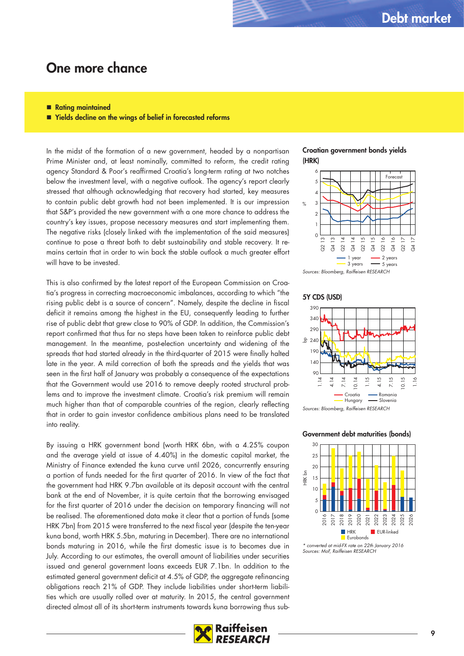### **One more chance**

#### ■ Rating maintained

**Yields decline on the wings of belief in forecasted reforms**

In the midst of the formation of a new government, headed by a nonpartisan Prime Minister and, at least nominally, committed to reform, the credit rating agency Standard & Poor's reaffirmed Croatia's long-term rating at two notches below the investment level, with a negative outlook. The agency's report clearly stressed that although acknowledging that recovery had started, key measures to contain public debt growth had not been implemented. It is our impression that S&P's provided the new government with a one more chance to address the country's key issues, propose necessary measures and start implementing them. The negative risks (closely linked with the implementation of the said measures) continue to pose a threat both to debt sustainability and stable recovery. It remains certain that in order to win back the stable outlook a much greater effort will have to be invested.

This is also confirmed by the latest report of the European Commission on Croatia's progress in correcting macroeconomic imbalances, according to which "the rising public debt is a source of concern". Namely, despite the decline in fiscal deficit it remains among the highest in the EU, consequently leading to further rise of public debt that grew close to 90% of GDP. In addition, the Commission's report confirmed that thus far no steps have been taken to reinforce public debt management. In the meantime, post-election uncertainty and widening of the spreads that had started already in the third-quarter of 2015 were finally halted late in the year. A mild correction of both the spreads and the yields that was seen in the first half of January was probably a consequence of the expectations that the Government would use 2016 to remove deeply rooted structural problems and to improve the investment climate. Croatia's risk premium will remain much higher than that of comparable countries of the region, clearly reflecting that in order to gain investor confidence ambitious plans need to be translated into reality.

By issuing a HRK government bond (worth HRK 6bn, with a 4.25% coupon and the average yield at issue of 4.40%) in the domestic capital market, the Ministry of Finance extended the kuna curve until 2026, concurrently ensuring a portion of funds needed for the first quarter of 2016. In view of the fact that the government had HRK 9.7bn available at its deposit account with the central bank at the end of November, it is quite certain that the borrowing envisaged for the first quarter of 2016 under the decision on temporary financing will not be realised. The aforementioned data make it clear that a portion of funds (some HRK 7bn) from 2015 were transferred to the next fiscal year (despite the ten-year kuna bond, worth HRK 5.5bn, maturing in December). There are no international bonds maturing in 2016, while the first domestic issue is to becomes due in July. According to our estimates, the overall amount of liabilities under securities issued and general government loans exceeds EUR 7.1bn. In addition to the estimated general government deficit at 4.5% of GDP, the aggregate refinancing obligations reach 21% of GDP. They include liabilities under short-term liabilities which are usually rolled over at maturity. In 2015, the central government directed almost all of its short-term instruments towards kuna borrowing thus sub-





#### **5Y CDS (USD)**



#### **Government debt maturities (bonds)**



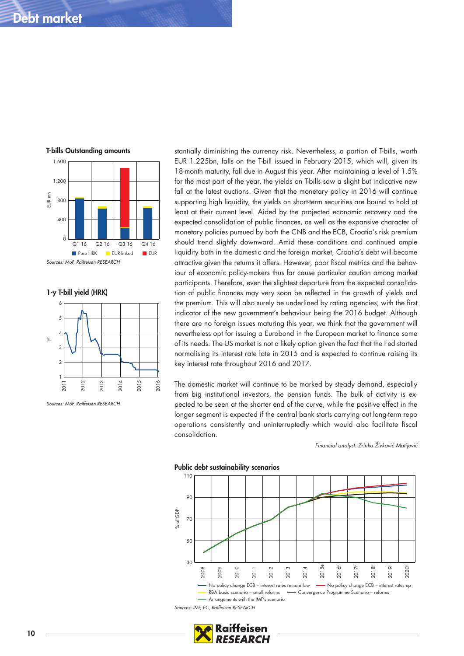### **Debt market**



**1-y T-bill yield (HRK)**



Sources: MoF, Raiffeisen RESEARCH

stantially diminishing the currency risk. Nevertheless, a portion of T-bills, worth EUR 1.225bn, falls on the T-bill issued in February 2015, which will, given its 18-month maturity, fall due in August this year. After maintaining a level of 1.5% for the most part of the year, the yields on T-bills saw a slight but indicative new fall at the latest auctions. Given that the monetary policy in 2016 will continue supporting high liquidity, the yields on short-term securities are bound to hold at least at their current level. Aided by the projected economic recovery and the expected consolidation of public finances, as well as the expansive character of monetary policies pursued by both the CNB and the ECB, Croatia's risk premium should trend slightly downward. Amid these conditions and continued ample liquidity both in the domestic and the foreign market, Croatia's debt will become attractive given the returns it offers. However, poor fiscal metrics and the behaviour of economic policy-makers thus far cause particular caution among market participants. Therefore, even the slightest departure from the expected consolidation of public finances may very soon be reflected in the growth of yields and the premium. This will also surely be underlined by rating agencies, with the first indicator of the new government's behaviour being the 2016 budget. Although there are no foreign issues maturing this year, we think that the government will nevertheless opt for issuing a Eurobond in the European market to finance some of its needs. The US market is not a likely option given the fact that the Fed started normalising its interest rate late in 2015 and is expected to continue raising its key interest rate throughout 2016 and 2017.

The domestic market will continue to be marked by steady demand, especially from big institutional investors, the pension funds. The bulk of activity is expected to be seen at the shorter end of the curve, while the positive effect in the longer segment is expected if the central bank starts carrying out long-term repo operations consistently and uninterruptedly which would also facilitate fiscal consolidation.

Financial analyst: Zrinka Živković Matijević





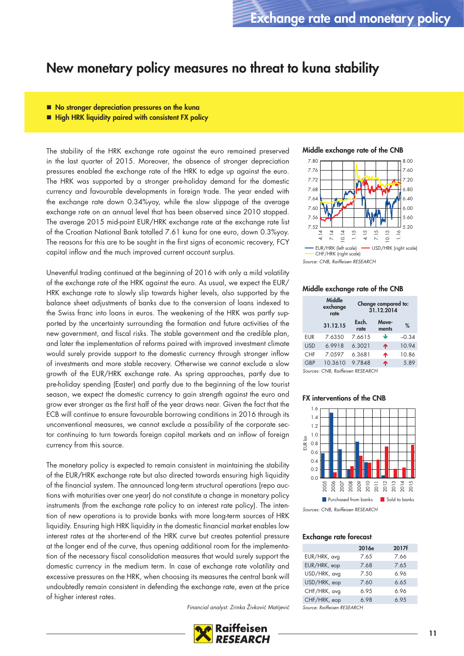### **New monetary policy measures no threat to kuna stability**

- No stronger depreciation pressures on the kuna
- High HRK liquidity paired with consistent FX policy

The stability of the HRK exchange rate against the euro remained preserved in the last quarter of 2015. Moreover, the absence of stronger depreciation pressures enabled the exchange rate of the HRK to edge up against the euro. The HRK was supported by a stronger pre-holiday demand for the domestic currency and favourable developments in foreign trade. The year ended with the exchange rate down 0.34%yoy, while the slow slippage of the average exchange rate on an annual level that has been observed since 2010 stopped. The average 2015 mid-point EUR/HRK exchange rate at the exchange rate list of the Croatian National Bank totalled 7.61 kuna for one euro, down 0.3%yoy. The reasons for this are to be sought in the first signs of economic recovery, FCY capital inflow and the much improved current account surplus.

Uneventful trading continued at the beginning of 2016 with only a mild volatility of the exchange rate of the HRK against the euro. As usual, we expect the EUR/ HRK exchange rate to slowly slip towards higher levels, also supported by the balance sheet adjustments of banks due to the conversion of loans indexed to the Swiss franc into loans in euros. The weakening of the HRK was partly supported by the uncertainty surrounding the formation and future activities of the new government, and fiscal risks. The stable government and the credible plan, and later the implementation of reforms paired with improved investment climate would surely provide support to the domestic currency through stronger inflow of investments and more stable recovery. Otherwise we cannot exclude a slow growth of the EUR/HRK exchange rate. As spring approaches, partly due to pre-holiday spending (Easter) and partly due to the beginning of the low tourist season, we expect the domestic currency to gain strength against the euro and grow ever stronger as the first half of the year draws near. Given the fact that the ECB will continue to ensure favourable borrowing conditions in 2016 through its unconventional measures, we cannot exclude a possibility of the corporate sector continuing to turn towards foreign capital markets and an inflow of foreign currency from this source.

The monetary policy is expected to remain consistent in maintaining the stability of the EUR/HRK exchange rate but also directed towards ensuring high liquidity of the financial system. The announced long-term structural operations (repo auctions with maturities over one year) do not constitute a change in monetary policy instruments (from the exchange rate policy to an interest rate policy). The intention of new operations is to provide banks with more long-term sources of HRK liquidity. Ensuring high HRK liquidity in the domestic financial market enables low interest rates at the shorter-end of the HRK curve but creates potential pressure at the longer end of the curve, thus opening additional room for the implementation of the necessary fiscal consolidation measures that would surely support the domestic currency in the medium term. In case of exchange rate volatility and excessive pressures on the HRK, when choosing its measures the central bank will undoubtedly remain consistent in defending the exchange rate, even at the price of higher interest rates.

Financial analyst: Zrinka Živković Matijević



**Middle exchange rate of the CNB**



Source: CNB, Raiffeisen RESEARCH

#### **Middle exchange rate of the CNB**

|            | Middle<br>exchange<br>rate | Change compared to:<br>31.12.2014 |                |         |
|------------|----------------------------|-----------------------------------|----------------|---------|
|            | 31.12.15                   | Exch.<br>rate                     | Move-<br>ments | %       |
| <b>EUR</b> | 7.6350                     | 7.6615                            | ↓              | $-0.34$ |
| <b>USD</b> | 6.9918                     | 6.3021                            | ኍ              | 10.94   |
| <b>CHF</b> | 7.0597                     | 6.3681                            | ኍ              | 10.86   |
| <b>GBP</b> | 10.3610                    | 9.7848                            | ኍ              | 5.89    |
|            |                            |                                   |                |         |

Sources: CNB, Raiffeisen RESEARCH

#### **FX interventions of the CNB**



Sources: CNB, Raiffeisen RESEARCH

#### **Exchange rate forecast**

|                       | 2016e | 2017f |
|-----------------------|-------|-------|
| EUR/HRK, avg          | 7.65  | 7.66  |
| EUR/HRK, eop          | 7.68  | 7.65  |
| USD/HRK, avg          | 7.50  | 6.96  |
| USD/HRK, eop          | 7.60  | 6.65  |
| CHF/HRK, avg          | 6.95  | 6.96  |
| CHF/HRK, eop          | 6.98  | 6.95  |
| $\sim$ $\cdot$ $\sim$ |       |       |

Source: Raiffeisen RESEARCH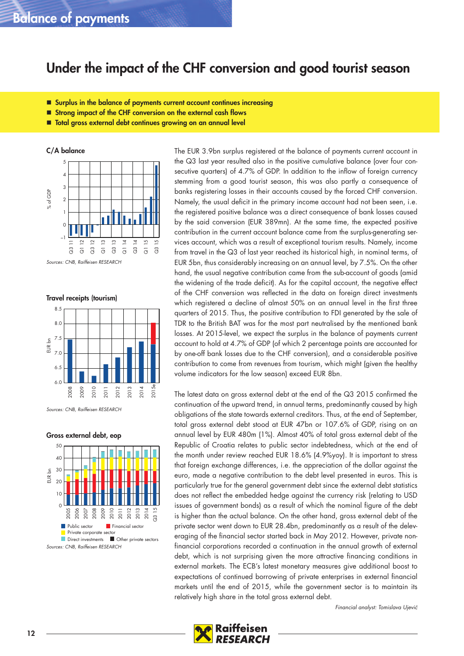### **Balance of payments**

### **Under the impact of the CHF conversion and good tourist season**

- Surplus in the balance of payments current account continues increasing
- **Strong impact of the CHF conversion on the external cash flows**
- **Total gross external debt continues growing on an annual level**

**C/A balance**



Sources: CNB, Raiffeisen RESEARCH

**Travel receipts (tourism)**



Sources: CNB, Raiffeisen RESEARCH

#### **Gross external debt, eop**



The EUR 3.9bn surplus registered at the balance of payments current account in the Q3 last year resulted also in the positive cumulative balance (over four consecutive quarters) of 4.7% of GDP. In addition to the inflow of foreign currency stemming from a good tourist season, this was also partly a consequence of banks registering losses in their accounts caused by the forced CHF conversion. Namely, the usual deficit in the primary income account had not been seen, i.e. the registered positive balance was a direct consequence of bank losses caused by the said conversion (EUR 389mn). At the same time, the expected positive contribution in the current account balance came from the surplus-generating services account, which was a result of exceptional tourism results. Namely, income from travel in the Q3 of last year reached its historical high, in nominal terms, of EUR 5bn, thus considerably increasing on an annual level, by 7.5%. On the other hand, the usual negative contribution came from the sub-account of goods (amid the widening of the trade deficit). As for the capital account, the negative effect of the CHF conversion was reflected in the data on foreign direct investments which registered a decline of almost 50% on an annual level in the first three quarters of 2015. Thus, the positive contribution to FDI generated by the sale of TDR to the British BAT was for the most part neutralised by the mentioned bank losses. At 2015-level, we expect the surplus in the balance of payments current account to hold at 4.7% of GDP (of which 2 percentage points are accounted for by one-off bank losses due to the CHF conversion), and a considerable positive contribution to come from revenues from tourism, which might (given the healthy volume indicators for the low season) exceed EUR 8bn.

The latest data on gross external debt at the end of the Q3 2015 confirmed the continuation of the upward trend, in annual terms, predominantly caused by high obligations of the state towards external creditors. Thus, at the end of September, total gross external debt stood at EUR 47bn or 107.6% of GDP, rising on an annual level by EUR 480m (1%). Almost 40% of total gross external debt of the Republic of Croatia relates to public sector indebtedness, which at the end of the month under review reached EUR 18.6% (4.9%yoy). It is important to stress that foreign exchange differences, i.e. the appreciation of the dollar against the euro, made a negative contribution to the debt level presented in euros. This is particularly true for the general government debt since the external debt statistics does not reflect the embedded hedge against the currency risk (relating to USD issues of government bonds) as a result of which the nominal figure of the debt is higher than the actual balance. On the other hand, gross external debt of the private sector went down to EUR 28.4bn, predominantly as a result of the deleveraging of the financial sector started back in May 2012. However, private nonfinancial corporations recorded a continuation in the annual growth of external debt, which is not surprising given the more attractive financing conditions in external markets. The ECB's latest monetary measures give additional boost to expectations of continued borrowing of private enterprises in external financial markets until the end of 2015, while the government sector is to maintain its relatively high share in the total gross external debt.

Financial analyst: Tomislava Ujević

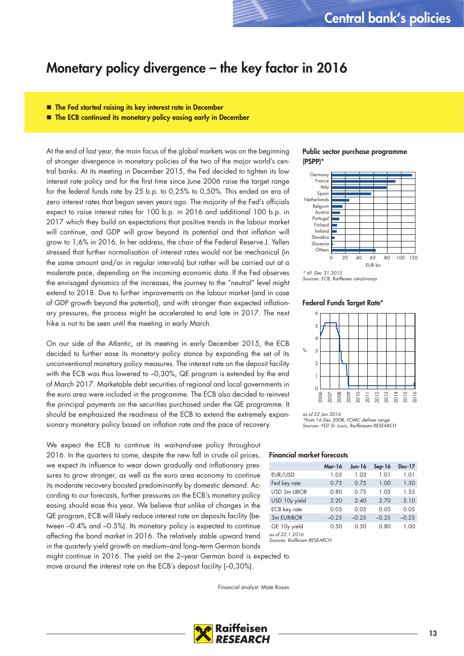### **Monetary policy divergence – the key factor in 2016**

- **The Fed started raising its key interest rate in December**
- The ECB continued its monetary policy easing early in December

At the end of last year, the main focus of the global markets was on the beginning of stronger divergence in monetary policies of the two of the major world's central banks. At its meeting in December 2015, the Fed decided to tighten its low interest rate policy and for the first time since June 2006 raise the target range for the federal funds rate by 25 b.p. to 0,25% to 0,50%. This ended an era of zero interest rates that began seven years ago. The majority of the Fed's officials expect to raise interest rates for 100 b.p. in 2016 and additional 100 b.p. in 2017 which they build on expectations that positive trends in the labour market will continue, and GDP will grow beyond its potential and that inflation will grow to 1,6% in 2016. In her address, the chair of the Federal Reserve J. Yellen stressed that further normalisation of interest rates would not be mechanical (in the same amount and/or in regular intervals) but rather will be carried out at a moderate pace, depending on the incoming economic data. If the Fed observes the envisaged dynamics of the increases, the journey to the "neutral" level might extend to 2018. Due to further improvements on the labour market (and in case of GDP growth beyond the potential), and with stronger than expected inflationary pressures, the process might be accelerated to end late in 2017. The next hike is not to be seen until the meeting in early March.

On our side of the Atlantic, at its meeting in early December 2015, the ECB decided to further ease its monetary policy stance by expanding the set of its unconventional monetary policy measures. The interest rate on the deposit facility with the ECB was thus lowered to –0,30%, QE program is extended by the end of March 2017. Marketable debt securities of regional and local governments in the euro area were included in the programme. The ECB also decided to reinvest the principal payments on the securities purchased under the QE programme. It should be emphasized the readiness of the ECB to extend the extremely expansionary monetary policy based on inflation rate and the pace of recovery.

We expect the ECB to continue its wait-and-see policy throughout 2016. In the quarters to come, despite the new fall in crude oil prices, we expect its influence to wear down gradually and inflationary pressures to grow stronger, as well as the euro area economy to continue its moderate recovery boosted predominantly by domestic demand. According to our forecasts, further pressures on the ECB's monetary policy easing should ease this year. We believe that unlike of changes in the QE program, ECB will likely reduce interest rate on deposits facility (between –0.4% and –0.5%). Its monetary policy is expected to continue affecting the bond market in 2016. The relatively stable upward trend in the quarterly yield growth on medium–and long–term German bonds

might continue in 2016. The yield on the 2–year German bond is expected to move around the interest rate on the ECB's deposit facility (–0,30%).

Financial analyst: Mate Rosan





\* till Dec 31 2015 Sources: ECB, Raiffeisen istraživanja

#### **Federal Funds Target Rate\***



as of 22 Jan 2016 from 16 Dec 2008, FOMC defines range Sources: FED St. Louis, Raiffaiesen RESEARCH

#### **Financial market forecasts**

|                 | <b>Mar-16</b> | Jun-16  | $Sep-16$ | <b>Dec-17</b> |
|-----------------|---------------|---------|----------|---------------|
| EUR/USD         | 1.05          | 1.03    | 1.01     | 1.01          |
| Fed key rate    | 0.75          | 0.75    | 1.00     | 1.50          |
| USD 3m LIBOR    | 0.80          | 0.75    | 1.05     | 1.55          |
| USD 10y yield   | 2.20          | 2.40    | 2.70     | 3.10          |
| ECB key rate    | 0.05          | 0.05    | 0.05     | 0.05          |
| 3m EURIBOR      | $-0.25$       | $-0.25$ | $-0.25$  | $-0.25$       |
| GE 10y yield    | 0.50          | 0.50    | 0.80     | 1.00          |
| as of 22.1.2016 |               |         |          |               |

as of 22.1.2016 Sources: Raiffeisen RESEARCH

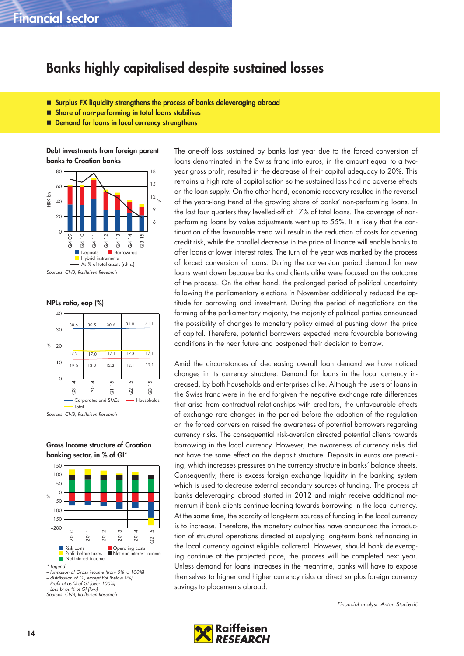### **Banks highly capitalised despite sustained losses**

- **Surplus FX liquidity strengthens the process of banks deleveraging abroad**
- **Share of non-performing in total loans stabilises**
- Demand for loans in local currency strengthens

**Debt investments from foreign parent banks to Croatian banks**



**NPLs ratio, eop (%)**



Sources: CNB, Raiffeisen Research

#### **Gross Income structure of Croatian banking sector, in % of GI\***



 $-$  distribution of GI, except Pbt (below 0%)

– Profit bt as % of GI (over 100%)

The one-off loss sustained by banks last year due to the forced conversion of loans denominated in the Swiss franc into euros, in the amount equal to a twoyear gross profit, resulted in the decrease of their capital adequacy to 20%. This remains a high rate of capitalisation so the sustained loss had no adverse effects on the loan supply. On the other hand, economic recovery resulted in the reversal of the years-long trend of the growing share of banks' non-performing loans. In the last four quarters they levelled-off at 17% of total loans. The coverage of nonperforming loans by value adjustments went up to 55%. It is likely that the continuation of the favourable trend will result in the reduction of costs for covering credit risk, while the parallel decrease in the price of finance will enable banks to offer loans at lower interest rates. The turn of the year was marked by the process of forced conversion of loans. During the conversion period demand for new loans went down because banks and clients alike were focused on the outcome of the process. On the other hand, the prolonged period of political uncertainty following the parliamentary elections in November additionally reduced the aptitude for borrowing and investment. During the period of negotiations on the forming of the parliamentary majority, the majority of political parties announced the possibility of changes to monetary policy aimed at pushing down the price of capital. Therefore, potential borrowers expected more favourable borrowing conditions in the near future and postponed their decision to borrow.

Amid the circumstances of decreasing overall loan demand we have noticed changes in its currency structure. Demand for loans in the local currency increased, by both households and enterprises alike. Although the users of loans in the Swiss franc were in the end forgiven the negative exchange rate differences that arise from contractual relationships with creditors, the unfavourable effects of exchange rate changes in the period before the adoption of the regulation on the forced conversion raised the awareness of potential borrowers regarding currency risks. The consequential risk-aversion directed potential clients towards borrowing in the local currency. However, the awareness of currency risks did not have the same effect on the deposit structure. Deposits in euros are prevailing, which increases pressures on the currency structure in banks' balance sheets. Consequently, there is excess foreign exchange liquidity in the banking system which is used to decrease external secondary sources of funding. The process of banks deleveraging abroad started in 2012 and might receive additional momentum if bank clients continue leaning towards borrowing in the local currency. At the same time, the scarcity of long-term sources of funding in the local currency is to increase. Therefore, the monetary authorities have announced the introduction of structural operations directed at supplying long-term bank refinancing in the local currency against eligible collateral. However, should bank deleveraging continue at the projected pace, the process will be completed next year. Unless demand for loans increases in the meantime, banks will have to expose themselves to higher and higher currency risks or direct surplus foreign currency savings to placements abroad.

Financial analyst: Anton Starčević



<sup>–</sup> Loss bt as % of GI (low) Sources: CNB, Raiffeisen Research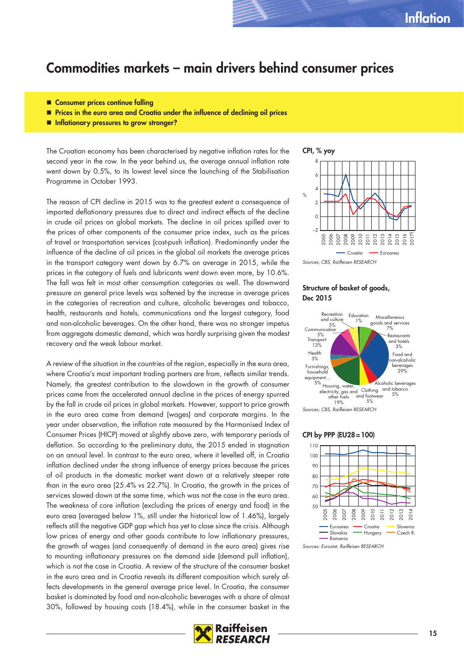### **Commodities markets – main drivers behind consumer prices**

- Consumer prices continue falling
- **Prices in the euro area and Croatia under the influence of declining oil prices**
- **Inflationary pressures to grow stronger?**

The Croatian economy has been characterised by negative inflation rates for the second year in the row. In the year behind us, the average annual inflation rate went down by 0.5%, to its lowest level since the launching of the Stabilisation Programme in October 1993.

The reason of CPI decline in 2015 was to the greatest extent a consequence of imported deflationary pressures due to direct and indirect effects of the decline in crude oil prices on global markets. The decline in oil prices spilled over to the prices of other components of the consumer price index, such as the prices of travel or transportation services (cost-push inflation). Predominantly under the influence of the decline of oil prices in the global oil markets the average prices in the transport category went down by 6.7% on average in 2015, while the prices in the category of fuels and lubricants went down even more, by 10.6%. The fall was felt in most other consumption categories as well. The downward pressure on general price levels was softened by the increase in average prices in the categories of recreation and culture, alcoholic beverages and tobacco, health, restaurants and hotels, communications and the largest category, food and non-alcoholic beverages. On the other hand, there was no stronger impetus from aggregate domestic demand, which was hardly surprising given the modest recovery and the weak labour market.

A review of the situation in the countries of the region, especially in the euro area, where Croatia's most important trading partners are from, reflects similar trends. Namely, the greatest contribution to the slowdown in the growth of consumer prices came from the accelerated annual decline in the prices of energy spurred by the fall in crude oil prices in global markets. However, support to price growth in the euro area came from demand (wages) and corporate margins. In the year under observation, the inflation rate measured by the Harmonised Index of Consumer Prices (HICP) moved at slightly above zero, with temporary periods of deflation. So according to the preliminary data, the 2015 ended in stagnation on an annual level. In contrast to the euro area, where it levelled off, in Croatia inflation declined under the strong influence of energy prices because the prices of oil products in the domestic market went down at a relatively steeper rate than in the euro area (25.4% vs 22.7%). In Croatia, the growth in the prices of services slowed down at the same time, which was not the case in the euro area. The weakness of core inflation (excluding the prices of energy and food) in the euro area (averaged below 1%, still under the historical low of 1.46%), largely reflects still the negative GDP gap which has yet to close since the crisis. Although low prices of energy and other goods contribute to low inflationary pressures, the growth of wages (and consequently of demand in the euro area) gives rise to mounting inflationary pressures on the demand side (demand pull inflation), which is not the case in Croatia. A review of the structure of the consumer basket in the euro area and in Croatia reveals its different composition which surely affects developments in the general average price level. In Croatia, the consumer basket is dominated by food and non-alcoholic beverages with a share of almost 30%, followed by housing costs (18.4%), while in the consumer basket in the





#### Sources; CBS, Raiffeisen RESEARCH

#### **Structure of basket of goods, Dec 2015**



Sources; CBS, Raiffeisen RESEARCH

#### **CPI by PPP (EU28 = 100)**



Sources: Eurostat, Raiffeisen RESEARCH

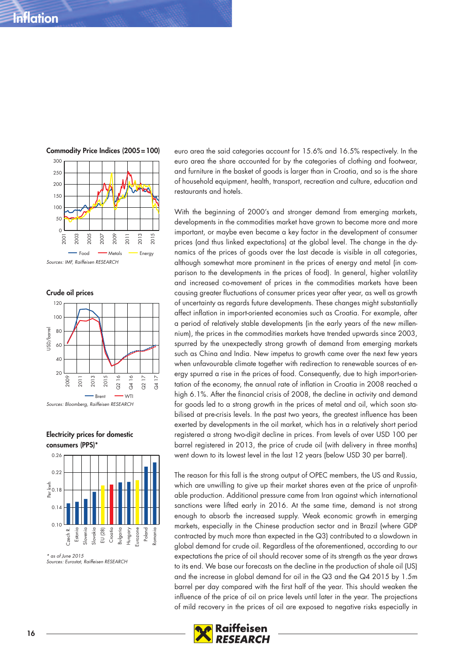



**Electricity prices for domestic** 



 $*$  as of June 2015 Sources: Eurostat, Raiffeisen RESEARCH euro area the said categories account for 15.6% and 16.5% respectively. In the euro area the share accounted for by the categories of clothing and footwear, and furniture in the basket of goods is larger than in Croatia, and so is the share of household equipment, health, transport, recreation and culture, education and restaurants and hotels.

With the beginning of 2000's and stronger demand from emerging markets, developments in the commodities market have grown to become more and more important, or maybe even became a key factor in the development of consumer prices (and thus linked expectations) at the global level. The change in the dynamics of the prices of goods over the last decade is visible in all categories, although somewhat more prominent in the prices of energy and metal (in comparison to the developments in the prices of food). In general, higher volatility and increased co-movement of prices in the commodities markets have been causing greater fluctuations of consumer prices year after year, as well as growth of uncertainty as regards future developments. These changes might substantially affect inflation in import-oriented economies such as Croatia. For example, after a period of relatively stable developments (in the early years of the new millennium), the prices in the commodities markets have trended upwards since 2003, spurred by the unexpectedly strong growth of demand from emerging markets such as China and India. New impetus to growth came over the next few years when unfavourable climate together with redirection to renewable sources of energy spurred a rise in the prices of food. Consequently, due to high import-orientation of the economy, the annual rate of inflation in Croatia in 2008 reached a high 6.1%. After the financial crisis of 2008, the decline in activity and demand for goods led to a strong growth in the prices of metal and oil, which soon stabilised at pre-crisis levels. In the past two years, the greatest influence has been exerted by developments in the oil market, which has in a relatively short period registered a strong two-digit decline in prices. From levels of over USD 100 per barrel registered in 2013, the price of crude oil (with delivery in three months) went down to its lowest level in the last 12 years (below USD 30 per barrel).

The reason for this fall is the strong output of OPEC members, the US and Russia, which are unwilling to give up their market shares even at the price of unprofitable production. Additional pressure came from Iran against which international sanctions were lifted early in 2016. At the same time, demand is not strong enough to absorb the increased supply. Weak economic growth in emerging markets, especially in the Chinese production sector and in Brazil (where GDP contracted by much more than expected in the Q3) contributed to a slowdown in global demand for crude oil. Regardless of the aforementioned, according to our expectations the price of oil should recover some of its strength as the year draws to its end. We base our forecasts on the decline in the production of shale oil (US) and the increase in global demand for oil in the Q3 and the Q4 2015 by 1.5m barrel per day compared with the first half of the year. This should weaken the influence of the price of oil on price levels until later in the year. The projections of mild recovery in the prices of oil are exposed to negative risks especially in

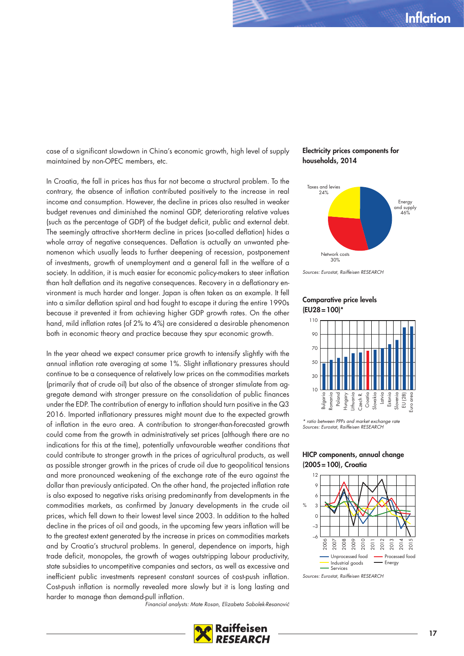case of a significant slowdown in China's economic growth, high level of supply maintained by non-OPEC members, etc.

In Croatia, the fall in prices has thus far not become a structural problem. To the contrary, the absence of inflation contributed positively to the increase in real income and consumption. However, the decline in prices also resulted in weaker budget revenues and diminished the nominal GDP, deteriorating relative values (such as the percentage of GDP) of the budget deficit, public and external debt. The seemingly attractive short-term decline in prices (so-called deflation) hides a whole array of negative consequences. Deflation is actually an unwanted phenomenon which usually leads to further deepening of recession, postponement of investments, growth of unemployment and a general fall in the welfare of a society. In addition, it is much easier for economic policy-makers to steer inflation than halt deflation and its negative consequences. Recovery in a deflationary environment is much harder and longer. Japan is often taken as an example. It fell into a similar deflation spiral and had fought to escape it during the entire 1990s because it prevented it from achieving higher GDP growth rates. On the other hand, mild inflation rates (of 2% to 4%) are considered a desirable phenomenon both in economic theory and practice because they spur economic growth.

In the year ahead we expect consumer price growth to intensify slightly with the annual inflation rate averaging at some 1%. Slight inflationary pressures should continue to be a consequence of relatively low prices on the commodities markets (primarily that of crude oil) but also of the absence of stronger stimulate from aggregate demand with stronger pressure on the consolidation of public finances under the EDP. The contribution of energy to inflation should turn positive in the Q3 2016. Imported inflationary pressures might mount due to the expected growth of inflation in the euro area. A contribution to stronger-than-forecasted growth could come from the growth in administratively set prices (although there are no indications for this at the time), potentially unfavourable weather conditions that could contribute to stronger growth in the prices of agricultural products, as well as possible stronger growth in the prices of crude oil due to geopolitical tensions and more pronounced weakening of the exchange rate of the euro against the dollar than previously anticipated. On the other hand, the projected inflation rate is also exposed to negative risks arising predominantly from developments in the commodities markets, as confirmed by January developments in the crude oil prices, which fell down to their lowest level since 2003. In addition to the halted decline in the prices of oil and goods, in the upcoming few years inflation will be to the greatest extent generated by the increase in prices on commodities markets and by Croatia's structural problems. In general, dependence on imports, high trade deficit, monopoles, the growth of wages outstripping labour productivity, state subsidies to uncompetitive companies and sectors, as well as excessive and inefficient public investments represent constant sources of cost-push inflation. Cost-push inflation is normally revealed more slowly but it is long lasting and harder to manage than demand-pull inflation.

**Electricity prices components for households, 2014**



Sources: Eurostat, Raiffeisen RESEARCH

#### **Comparative price levels (EU28 = 100)\***



<sup>\*</sup> ratio between PPPs and market exchange rate Sources: Eurostat, Raiffeisen RESEARCH

#### **HICP components, annual change (2005 = 100), Croatia**



Sources: Eurostat, Raiffeisen RESEARCH

Financial analysts: Mate Rosan, Elizabeta Sabolek-Resanović

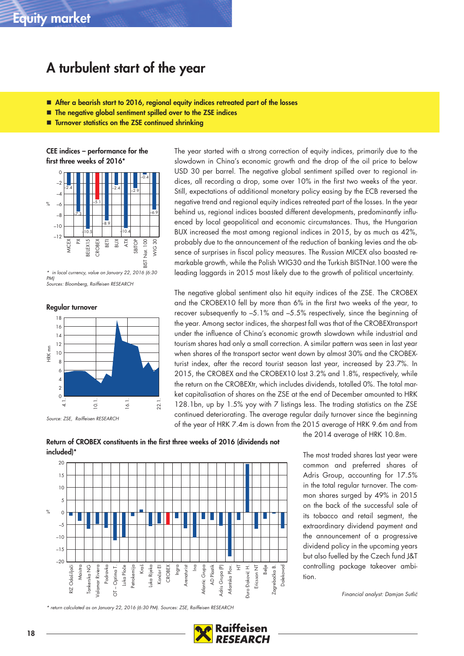### **A turbulent start of the year**

- **After a bearish start to 2016, regional equity indices retreated part of the losses**
- **The negative global sentiment spilled over to the ZSE indices**
- Turnover statistics on the ZSE continued shrinking

**CEE indices – performance for the first three weeks of 2016\***



in local currency, value on January 22, 2016 (6:30 PM) Sources: Bloomberg, Raiffeisen RESEARCH

**Regular turnover**



Source: ZSE, Raiffeisen RESEARCH

The year started with a strong correction of equity indices, primarily due to the slowdown in China's economic growth and the drop of the oil price to below USD 30 per barrel. The negative global sentiment spilled over to regional indices, all recording a drop, some over 10% in the first two weeks of the year. Still, expectations of additional monetary policy easing by the ECB reversed the negative trend and regional equity indices retreated part of the losses. In the year behind us, regional indices boasted different developments, predominantly influenced by local geopolitical and economic circumstances. Thus, the Hungarian BUX increased the most among regional indices in 2015, by as much as 42%, probably due to the announcement of the reduction of banking levies and the absence of surprises in fiscal policy measures. The Russian MICEX also boasted remarkable growth, while the Polish WIG30 and the Turkish BISTNat.100 were the leading laggards in 2015 most likely due to the growth of political uncertainty.

The negative global sentiment also hit equity indices of the ZSE. The CROBEX and the CROBEX10 fell by more than 6% in the first two weeks of the year, to recover subsequently to –5.1% and –5.5% respectively, since the beginning of the year. Among sector indices, the sharpest fall was that of the CROBEXtransport under the influence of China's economic growth slowdown while industrial and tourism shares had only a small correction. A similar pattern was seen in last year when shares of the transport sector went down by almost 30% and the CROBEXturist index, after the record tourist season last year, increased by 23.7%. In 2015, the CROBEX and the CROBEX10 lost 3.2% and 1.8%, respectively, while the return on the CROBEXtr, which includes dividends, totalled 0%. The total market capitalisation of shares on the ZSE at the end of December amounted to HRK 128.1bn, up by 1.5% yoy with 7 listings less. The trading statistics on the ZSE continued deteriorating. The average regular daily turnover since the beginning of the year of HRK 7.4m is down from the 2015 average of HRK 9.6m and from

**Return of CROBEX constituents in the first three weeks of 2016 (dividends not** 



\* return calculated as on January 22, 2016 (6:30 PM). Sources: ZSE, Raiffeisen RESEARCH

the 2014 average of HRK 10.8m.

The most traded shares last year were common and preferred shares of Adris Group, accounting for 17.5% in the total regular turnover. The common shares surged by 49% in 2015 on the back of the successful sale of its tobacco and retail segment, the extraordinary dividend payment and the announcement of a progressive dividend policy in the upcoming years but also fuelled by the Czech fund J&T controlling package takeover ambition.

Financial analyst: Damjan Sutlić

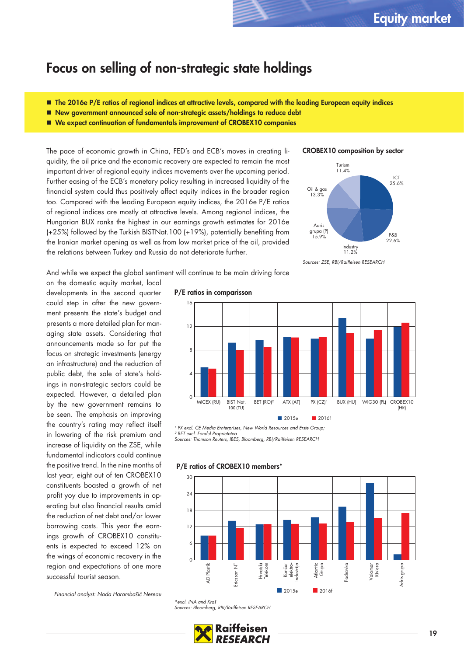### **Focus on selling of non-strategic state holdings**

- **The 2016e P/E ratios of regional indices at attractive levels, compared with the leading European equity indices**
- **New government announced sale of non-strategic assets/holdings to reduce debt**
- **We expect continuation of fundamentals improvement of CROBEX10 companies**

The pace of economic growth in China, FED's and ECB's moves in creating liquidity, the oil price and the economic recovery are expected to remain the most important driver of regional equity indices movements over the upcoming period. Further easing of the ECB's monetary policy resulting in increased liquidity of the financial system could thus positively affect equity indices in the broader region too. Compared with the leading European equity indices, the 2016e P/E ratios of regional indices are mostly at attractive levels. Among regional indices, the Hungarian BUX ranks the highest in our earnings growth estimates for 2016e (+25%) followed by the Turkish BISTNat.100 (+19%), potentially benefiting from the Iranian market opening as well as from low market price of the oil, provided the relations between Turkey and Russia do not deteriorate further.





And while we expect the global sentiment will continue to be main driving force

on the domestic equity market, local developments in the second quarter could step in after the new government presents the state's budget and presents a more detailed plan for managing state assets. Considering that announcements made so far put the focus on strategic investments (energy an infrastructure) and the reduction of public debt, the sale of state's holdings in non-strategic sectors could be expected. However, a detailed plan by the new government remains to be seen. The emphasis on improving the country's rating may reflect itself in lowering of the risk premium and increase of liquidity on the ZSE, while fundamental indicators could continue the positive trend. In the nine months of last year, eight out of ten CROBEX10 constituents boasted a growth of net profit yoy due to improvements in operating but also financial results amid the reduction of net debt and/or lower borrowing costs. This year the earnings growth of CROBEX10 constituents is expected to exceed 12% on the wings of economic recovery in the region and expectations of one more successful tourist season.

Financial analyst: Nada Harambašić Nereau

#### **P/E ratios in comparisson**



<sup>1</sup> PX excl. CE Media Ernterprises, New World Resources and Erste Group,

² BET excl. Fondul Proprietatea Sources: Thomson Reuters, IBES, Bloomberg, RBI/Raiffeisen RESEARCH



#### **P/E ratios of CROBEX10 members\***

<sup>\*</sup>excl. INA and Kraš Sources: Bloomberg, RBI/Raiffeisen RESEARCH